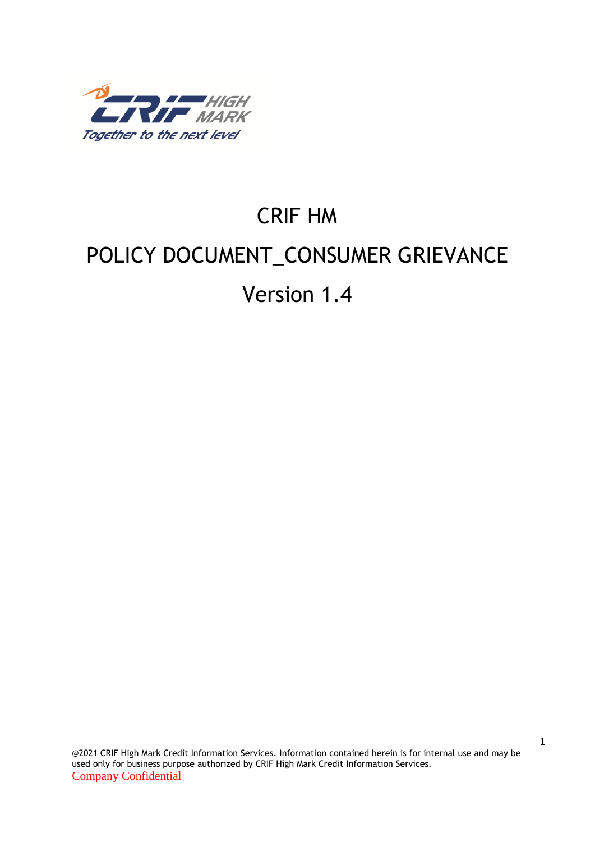

# CRIF HM POLICY DOCUMENT\_CONSUMER GRIEVANCE Version 1.4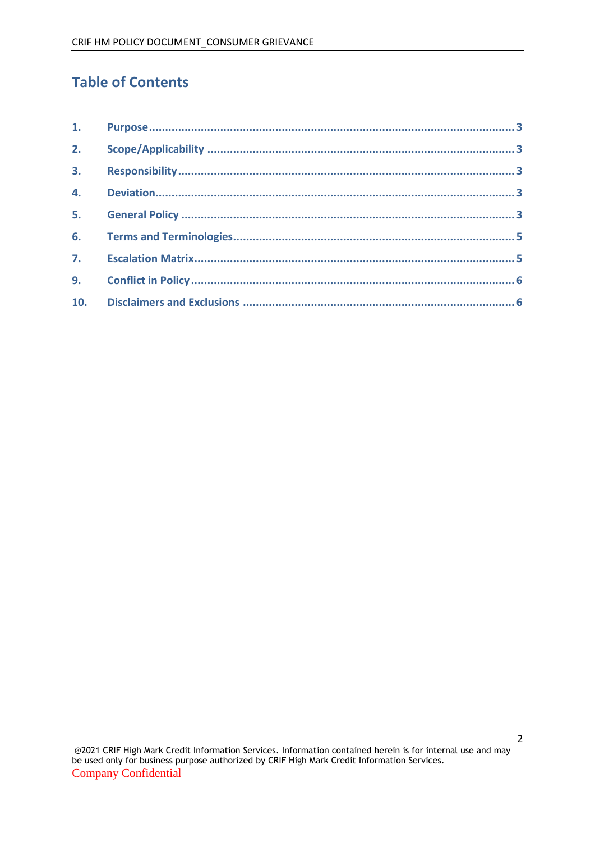# **Table of Contents**

| 1.               |  |
|------------------|--|
|                  |  |
| 3.               |  |
|                  |  |
| 5.               |  |
|                  |  |
| $\overline{7}$ . |  |
| 9.               |  |
| 10.              |  |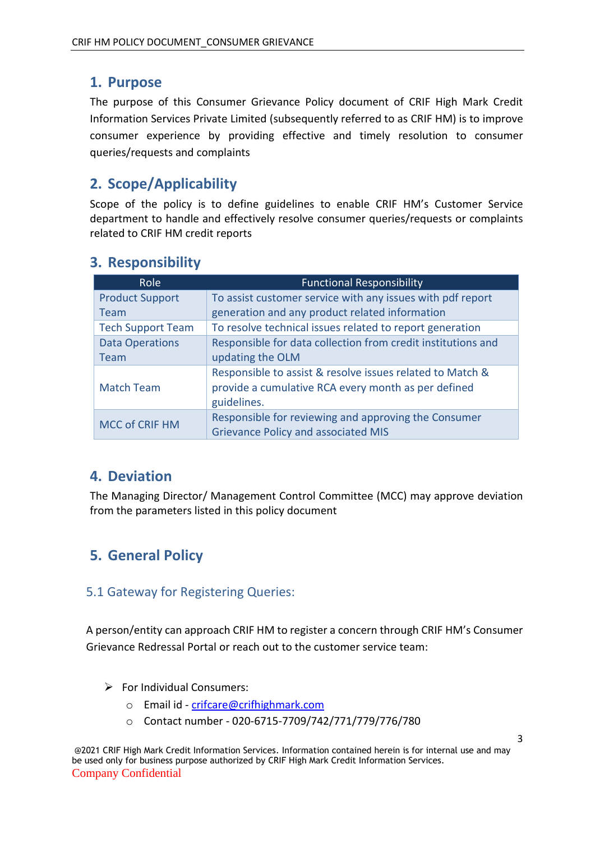#### <span id="page-2-0"></span>**1. Purpose**

The purpose of this Consumer Grievance Policy document of CRIF High Mark Credit Information Services Private Limited (subsequently referred to as CRIF HM) is to improve consumer experience by providing effective and timely resolution to consumer queries/requests and complaints

# <span id="page-2-1"></span>**2. Scope/Applicability**

Scope of the policy is to define guidelines to enable CRIF HM's Customer Service department to handle and effectively resolve consumer queries/requests or complaints related to CRIF HM credit reports

| Role                     | <b>Functional Responsibility</b>                             |  |  |
|--------------------------|--------------------------------------------------------------|--|--|
| <b>Product Support</b>   | To assist customer service with any issues with pdf report   |  |  |
| Team                     | generation and any product related information               |  |  |
| <b>Tech Support Team</b> | To resolve technical issues related to report generation     |  |  |
| <b>Data Operations</b>   | Responsible for data collection from credit institutions and |  |  |
| Team                     | updating the OLM                                             |  |  |
|                          | Responsible to assist & resolve issues related to Match &    |  |  |
| <b>Match Team</b>        | provide a cumulative RCA every month as per defined          |  |  |
|                          | guidelines.                                                  |  |  |
| <b>MCC of CRIF HM</b>    | Responsible for reviewing and approving the Consumer         |  |  |
|                          | <b>Grievance Policy and associated MIS</b>                   |  |  |

## <span id="page-2-2"></span>**3. Responsibility**

## <span id="page-2-3"></span>**4. Deviation**

The Managing Director/ Management Control Committee (MCC) may approve deviation from the parameters listed in this policy document

# <span id="page-2-4"></span>**5. General Policy**

#### 5.1 Gateway for Registering Queries:

A person/entity can approach CRIF HM to register a concern through CRIF HM's Consumer Grievance Redressal Portal or reach out to the customer service team:

- $\triangleright$  For Individual Consumers:
	- o Email id [crifcare@crifhighmark.com](mailto:crifcare@crifhighmark.com)
	- o Contact number 020-6715-7709/742/771/779/776/780

@2021 CRIF High Mark Credit Information Services. Information contained herein is for internal use and may be used only for business purpose authorized by CRIF High Mark Credit Information Services. Company Confidential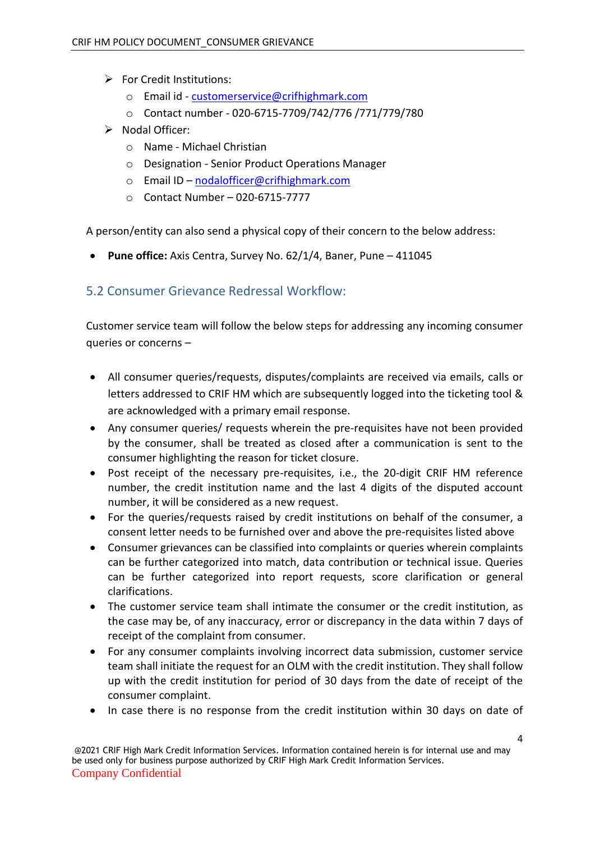- ➢ For Credit Institutions:
	- o Email id [customerservice@crifhighmark.com](mailto:customerservice@crifhighmark.com)
	- o Contact number 020-6715-7709/742/776 /771/779/780
- ➢ Nodal Officer:
	- o Name Michael Christian
	- o Designation Senior Product Operations Manager
	- o Email ID [nodalofficer@crifhighmark.com](mailto:nodalofficer@crifhighmark.com)
	- o Contact Number 020-6715-7777

A person/entity can also send a physical copy of their concern to the below address:

• **Pune office:** Axis Centra, Survey No. 62/1/4, Baner, Pune – 411045

#### 5.2 Consumer Grievance Redressal Workflow:

Customer service team will follow the below steps for addressing any incoming consumer queries or concerns –

- All consumer queries/requests, disputes/complaints are received via emails, calls or letters addressed to CRIF HM which are subsequently logged into the ticketing tool & are acknowledged with a primary email response.
- Any consumer queries/ requests wherein the pre-requisites have not been provided by the consumer, shall be treated as closed after a communication is sent to the consumer highlighting the reason for ticket closure.
- Post receipt of the necessary pre-requisites, i.e., the 20-digit CRIF HM reference number, the credit institution name and the last 4 digits of the disputed account number, it will be considered as a new request.
- For the queries/requests raised by credit institutions on behalf of the consumer, a consent letter needs to be furnished over and above the pre-requisites listed above
- Consumer grievances can be classified into complaints or queries wherein complaints can be further categorized into match, data contribution or technical issue. Queries can be further categorized into report requests, score clarification or general clarifications.
- The customer service team shall intimate the consumer or the credit institution, as the case may be, of any inaccuracy, error or discrepancy in the data within 7 days of receipt of the complaint from consumer.
- For any consumer complaints involving incorrect data submission, customer service team shall initiate the request for an OLM with the credit institution. They shall follow up with the credit institution for period of 30 days from the date of receipt of the consumer complaint.
- In case there is no response from the credit institution within 30 days on date of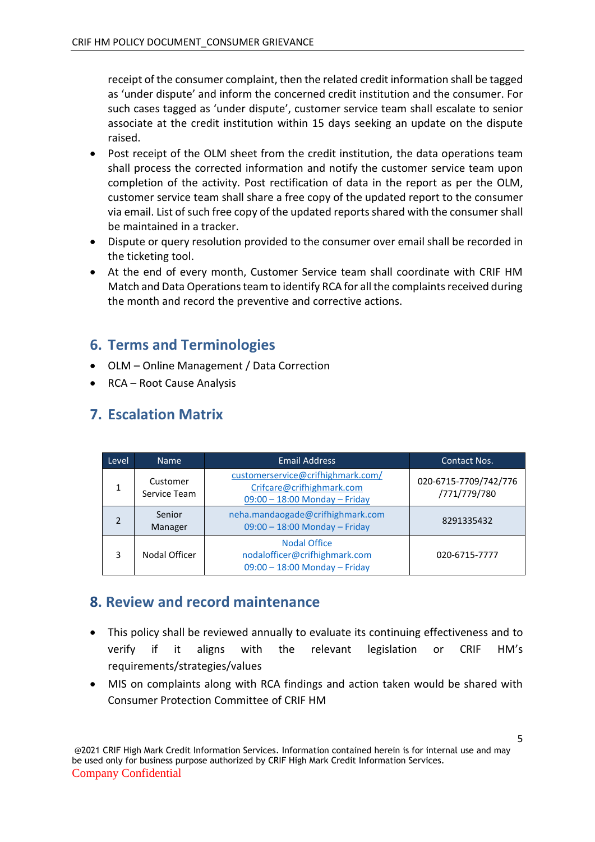receipt of the consumer complaint, then the related credit information shall be tagged as 'under dispute' and inform the concerned credit institution and the consumer. For such cases tagged as 'under dispute', customer service team shall escalate to senior associate at the credit institution within 15 days seeking an update on the dispute raised.

- Post receipt of the OLM sheet from the credit institution, the data operations team shall process the corrected information and notify the customer service team upon completion of the activity. Post rectification of data in the report as per the OLM, customer service team shall share a free copy of the updated report to the consumer via email. List of such free copy of the updated reports shared with the consumer shall be maintained in a tracker.
- Dispute or query resolution provided to the consumer over email shall be recorded in the ticketing tool.
- At the end of every month, Customer Service team shall coordinate with CRIF HM Match and Data Operations team to identify RCA for all the complaints received during the month and record the preventive and corrective actions.

#### <span id="page-4-0"></span>**6. Terms and Terminologies**

- OLM Online Management / Data Correction
- RCA Root Cause Analysis

### <span id="page-4-1"></span>**7. Escalation Matrix**

| Level | <b>Name</b>              | <b>Email Address</b>                                                                            | <b>Contact Nos.</b>                   |
|-------|--------------------------|-------------------------------------------------------------------------------------------------|---------------------------------------|
|       | Customer<br>Service Team | customerservice@crifhighmark.com/<br>Crifcare@crifhighmark.com<br>09:00 - 18:00 Monday - Friday | 020-6715-7709/742/776<br>/771/779/780 |
|       | Senior<br>Manager        | neha.mandaogade@crifhighmark.com<br>09:00 - 18:00 Monday - Friday                               | 8291335432                            |
| ੨     | Nodal Officer            | <b>Nodal Office</b><br>nodalofficer@crifhighmark.com<br>$09:00 - 18:00$ Monday - Friday         | 020-6715-7777                         |

## **8. Review and record maintenance**

- This policy shall be reviewed annually to evaluate its continuing effectiveness and to verify if it aligns with the relevant legislation or CRIF HM's requirements/strategies/values
- MIS on complaints along with RCA findings and action taken would be shared with Consumer Protection Committee of CRIF HM